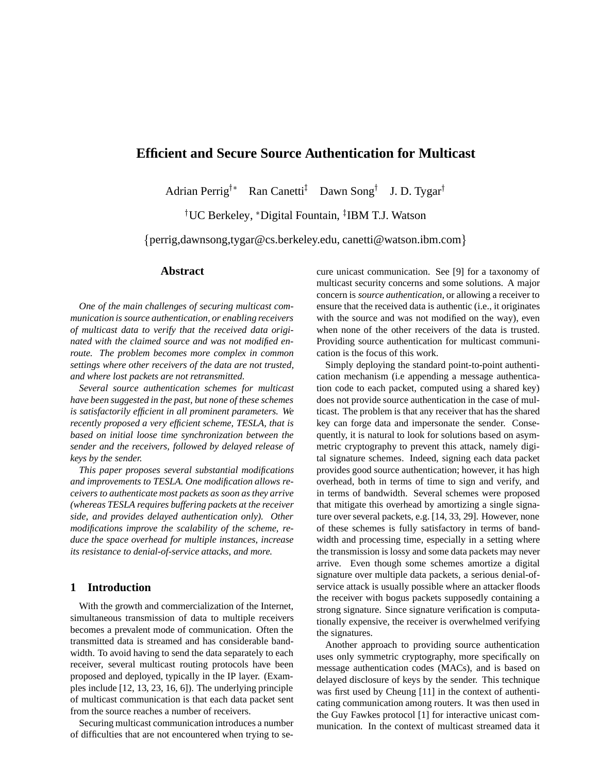# **Efficient and Secure Source Authentication for Multicast**

Adrian Perrig<sup>†\*</sup> Ran Canetti<sup>‡</sup> Dawn Song<sup>†</sup> J. D. Tygar<sup>†</sup>

<sup>†</sup>UC Berkeley, \*Digital Fountain, <sup>‡</sup>IBM T.J. Watson

fperrig,dawnsong,tygar@cs.berkeley.edu, canetti@watson.ibm.comg

# **Abstract**

*One of the main challenges of securing multicast communication is source authentication, or enabling receivers of multicast data to verify that the received data originated with the claimed source and was not modified enroute. The problem becomes more complex in common settings where other receivers of the data are not trusted, and where lost packets are not retransmitted.*

*Several source authentication schemes for multicast have been suggested in the past, but none of these schemes is satisfactorily efficient in all prominent parameters. We recently proposed a very efficient scheme, TESLA, that is based on initial loose time synchronization between the sender and the receivers, followed by delayed release of keys by the sender.*

*This paper proposes several substantial modifications and improvements to TESLA. One modification allows receivers to authenticate most packets as soon as they arrive (whereas TESLA requires buffering packets at the receiver side, and provides delayed authentication only). Other modifications improve the scalability of the scheme, reduce the space overhead for multiple instances, increase its resistance to denial-of-service attacks, and more.*

# **1 Introduction**

With the growth and commercialization of the Internet, simultaneous transmission of data to multiple receivers becomes a prevalent mode of communication. Often the transmitted data is streamed and has considerable bandwidth. To avoid having to send the data separately to each receiver, several multicast routing protocols have been proposed and deployed, typically in the IP layer. (Examples include [12, 13, 23, 16, 6]). The underlying principle of multicast communication is that each data packet sent from the source reaches a number of receivers.

Securing multicast communication introduces a number of difficulties that are not encountered when trying to secure unicast communication. See [9] for a taxonomy of multicast security concerns and some solutions. A major concern is *source authentication*, or allowing a receiver to ensure that the received data is authentic (i.e., it originates with the source and was not modified on the way), even when none of the other receivers of the data is trusted. Providing source authentication for multicast communication is the focus of this work.

Simply deploying the standard point-to-point authentication mechanism (i.e appending a message authentication code to each packet, computed using a shared key) does not provide source authentication in the case of multicast. The problem is that any receiver that has the shared key can forge data and impersonate the sender. Consequently, it is natural to look for solutions based on asymmetric cryptography to prevent this attack, namely digital signature schemes. Indeed, signing each data packet provides good source authentication; however, it has high overhead, both in terms of time to sign and verify, and in terms of bandwidth. Several schemes were proposed that mitigate this overhead by amortizing a single signature over several packets, e.g. [14, 33, 29]. However, none of these schemes is fully satisfactory in terms of bandwidth and processing time, especially in a setting where the transmission is lossy and some data packets may never arrive. Even though some schemes amortize a digital signature over multiple data packets, a serious denial-ofservice attack is usually possible where an attacker floods the receiver with bogus packets supposedly containing a strong signature. Since signature verification is computationally expensive, the receiver is overwhelmed verifying the signatures.

Another approach to providing source authentication uses only symmetric cryptography, more specifically on message authentication codes (MACs), and is based on delayed disclosure of keys by the sender. This technique was first used by Cheung [11] in the context of authenticating communication among routers. It was then used in the Guy Fawkes protocol [1] for interactive unicast communication. In the context of multicast streamed data it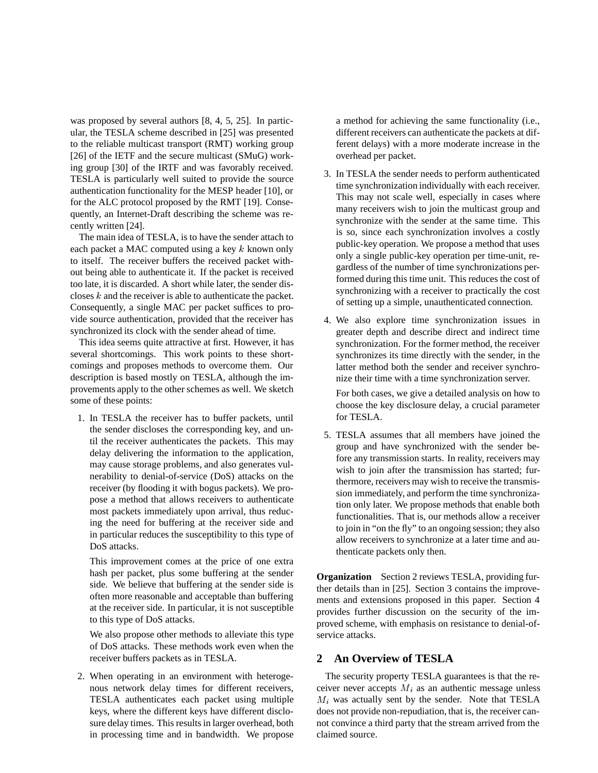was proposed by several authors [8, 4, 5, 25]. In particular, the TESLA scheme described in [25] was presented to the reliable multicast transport (RMT) working group [26] of the IETF and the secure multicast (SMuG) working group [30] of the IRTF and was favorably received. TESLA is particularly well suited to provide the source authentication functionality for the MESP header [10], or for the ALC protocol proposed by the RMT [19]. Consequently, an Internet-Draft describing the scheme was recently written [24].

The main idea of TESLA, is to have the sender attach to each packet a MAC computed using a key  $k$  known only to itself. The receiver buffers the received packet without being able to authenticate it. If the packet is received too late, it is discarded. A short while later, the sender discloses <sup>k</sup> and the receiver is able to authenticate the packet. Consequently, a single MAC per packet suffices to provide source authentication, provided that the receiver has synchronized its clock with the sender ahead of time.

This idea seems quite attractive at first. However, it has several shortcomings. This work points to these shortcomings and proposes methods to overcome them. Our description is based mostly on TESLA, although the improvements apply to the other schemes as well. We sketch some of these points:

1. In TESLA the receiver has to buffer packets, until the sender discloses the corresponding key, and until the receiver authenticates the packets. This may delay delivering the information to the application, may cause storage problems, and also generates vulnerability to denial-of-service (DoS) attacks on the receiver (by flooding it with bogus packets). We propose a method that allows receivers to authenticate most packets immediately upon arrival, thus reducing the need for buffering at the receiver side and in particular reduces the susceptibility to this type of DoS attacks.

This improvement comes at the price of one extra hash per packet, plus some buffering at the sender side. We believe that buffering at the sender side is often more reasonable and acceptable than buffering at the receiver side. In particular, it is not susceptible to this type of DoS attacks.

We also propose other methods to alleviate this type of DoS attacks. These methods work even when the receiver buffers packets as in TESLA.

2. When operating in an environment with heterogenous network delay times for different receivers, TESLA authenticates each packet using multiple keys, where the different keys have different disclosure delay times. This results in larger overhead, both in processing time and in bandwidth. We propose

a method for achieving the same functionality (i.e., different receivers can authenticate the packets at different delays) with a more moderate increase in the overhead per packet.

- 3. In TESLA the sender needs to perform authenticated time synchronization individually with each receiver. This may not scale well, especially in cases where many receivers wish to join the multicast group and synchronize with the sender at the same time. This is so, since each synchronization involves a costly public-key operation. We propose a method that uses only a single public-key operation per time-unit, regardless of the number of time synchronizations performed during this time unit. This reduces the cost of synchronizing with a receiver to practically the cost of setting up a simple, unauthenticated connection.
- 4. We also explore time synchronization issues in greater depth and describe direct and indirect time synchronization. For the former method, the receiver synchronizes its time directly with the sender, in the latter method both the sender and receiver synchronize their time with a time synchronization server.

For both cases, we give a detailed analysis on how to choose the key disclosure delay, a crucial parameter for TESLA.

5. TESLA assumes that all members have joined the group and have synchronized with the sender before any transmission starts. In reality, receivers may wish to join after the transmission has started; furthermore, receivers may wish to receive the transmission immediately, and perform the time synchronization only later. We propose methods that enable both functionalities. That is, our methods allow a receiver to join in "on the fly" to an ongoing session; they also allow receivers to synchronize at a later time and authenticate packets only then.

**Organization** Section 2 reviews TESLA, providing further details than in [25]. Section 3 contains the improvements and extensions proposed in this paper. Section 4 provides further discussion on the security of the improved scheme, with emphasis on resistance to denial-ofservice attacks.

# **2 An Overview of TESLA**

The security property TESLA guarantees is that the receiver never accepts  $M_i$  as an authentic message unless  $M_i$  was actually sent by the sender. Note that TESLA does not provide non-repudiation, that is, the receiver cannot convince a third party that the stream arrived from the claimed source.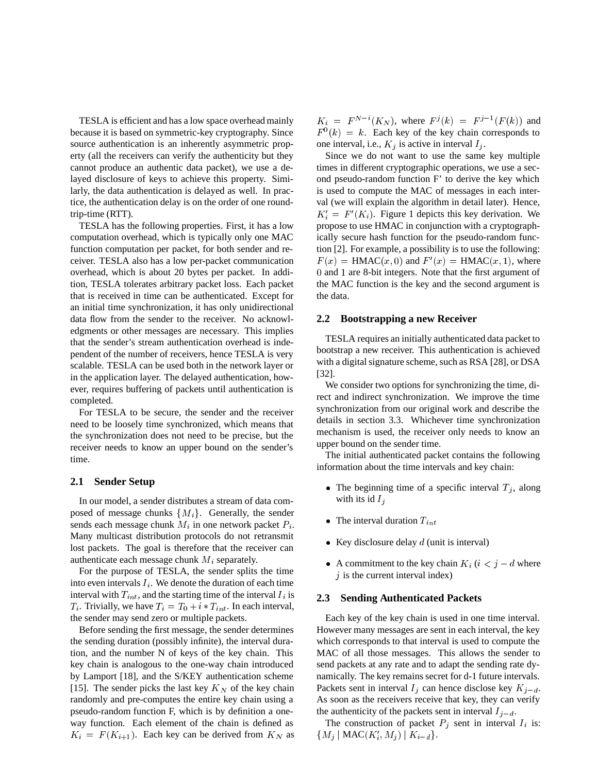TESLA is efficient and has a low space overhead mainly because it is based on symmetric-key cryptography. Since source authentication is an inherently asymmetric property (all the receivers can verify the authenticity but they cannot produce an authentic data packet), we use a delayed disclosure of keys to achieve this property. Similarly, the data authentication is delayed as well. In practice, the authentication delay is on the order of one roundtrip-time (RTT).

TESLA has the following properties. First, it has a low computation overhead, which is typically only one MAC function computation per packet, for both sender and receiver. TESLA also has a low per-packet communication overhead, which is about 20 bytes per packet. In addition, TESLA tolerates arbitrary packet loss. Each packet that is received in time can be authenticated. Except for an initial time synchronization, it has only unidirectional data flow from the sender to the receiver. No acknowledgments or other messages are necessary. This implies that the sender's stream authentication overhead is independent of the number of receivers, hence TESLA is very scalable. TESLA can be used both in the network layer or in the application layer. The delayed authentication, however, requires buffering of packets until authentication is completed.

For TESLA to be secure, the sender and the receiver need to be loosely time synchronized, which means that the synchronization does not need to be precise, but the receiver needs to know an upper bound on the sender's time.

## **2.1 Sender Setup**

In our model, a sender distributes a stream of data composed of message chunks  $\{M_i\}$ . Generally, the sender sends each message chunk  $M_i$  in one network packet  $P_i$ . Many multicast distribution protocols do not retransmit lost packets. The goal is therefore that the receiver can authenticate each message chunk  $M_i$  separately.

For the purpose of TESLA, the sender splits the time into even intervals  $I_i$ . We denote the duration of each time interval with  $T_{int}$ , and the starting time of the interval  $I_i$  is  $T_i$ . Trivially, we have  $T_i = T_0 + i * T_{int}$ . In each interval, the sender may send zero or multiple packets.

Before sending the first message, the sender determines the sending duration (possibly infinite), the interval duration, and the number N of keys of the key chain. This key chain is analogous to the one-way chain introduced by Lamport [18], and the S/KEY authentication scheme [15]. The sender picks the last key  $K_N$  of the key chain randomly and pre-computes the entire key chain using a pseudo-random function F, which is by definition a oneway function. Each element of the chain is defined as  $K_i = F(K_{i+1})$ . Each key can be derived from  $K_N$  as

 $K_i = F^{N-i}(K_N)$ , where  $F^{j}(k) = F^{j-1}(F(k))$  and  $F^{0}(k) = k$ . Each key of the key chain corresponds to one interval, i.e.,  $K_j$  is active in interval  $I_j$ .

Since we do not want to use the same key multiple times in different cryptographic operations, we use a second pseudo-random function F' to derive the key which is used to compute the MAC of messages in each interval (we will explain the algorithm in detail later). Hence,  $K_i' = F'(K_i)$ . Figure 1 depicts this key derivation. We propose to use HMAC in conjunction with a cryptographically secure hash function for the pseudo-random function [2]. For example, a possibility is to use the following:  $F(x) = \text{HMAC}(x, 0)$  and  $F'(x) = \text{HMAC}(x, 1)$ , where <sup>0</sup> and <sup>1</sup> are 8-bit integers. Note that the first argument of the MAC function is the key and the second argument is the data.

## **2.2 Bootstrapping a new Receiver**

TESLA requires an initially authenticated data packet to bootstrap a new receiver. This authentication is achieved with a digital signature scheme, such as RSA [28], or DSA [32].

We consider two options for synchronizing the time, direct and indirect synchronization. We improve the time synchronization from our original work and describe the details in section 3.3. Whichever time synchronization mechanism is used, the receiver only needs to know an upper bound on the sender time.

The initial authenticated packet contains the following information about the time intervals and key chain:

- The beginning time of a specific interval  $T_j$ , along with its id  $I_j$
- The interval duration  $T_{int}$
- Key disclosure delay  $d$  (unit is interval)
- A commitment to the key chain  $K_i$  ( $i < j d$  where  $j$  is the current interval index)

## **2.3 Sending Authenticated Packets**

Each key of the key chain is used in one time interval. However many messages are sent in each interval, the key which corresponds to that interval is used to compute the MAC of all those messages. This allows the sender to send packets at any rate and to adapt the sending rate dynamically. The key remains secret for d-1 future intervals. Packets sent in interval  $I_i$  can hence disclose key  $K_{i-d}$ . As soon as the receivers receive that key, they can verify the authenticity of the packets sent in interval  $I_{j-d}$ .

The construction of packet  $P_j$  sent in interval  $I_i$  is:  ${M_j | \text{MAC}(K'_i, M_j) | K_{i-d}}.$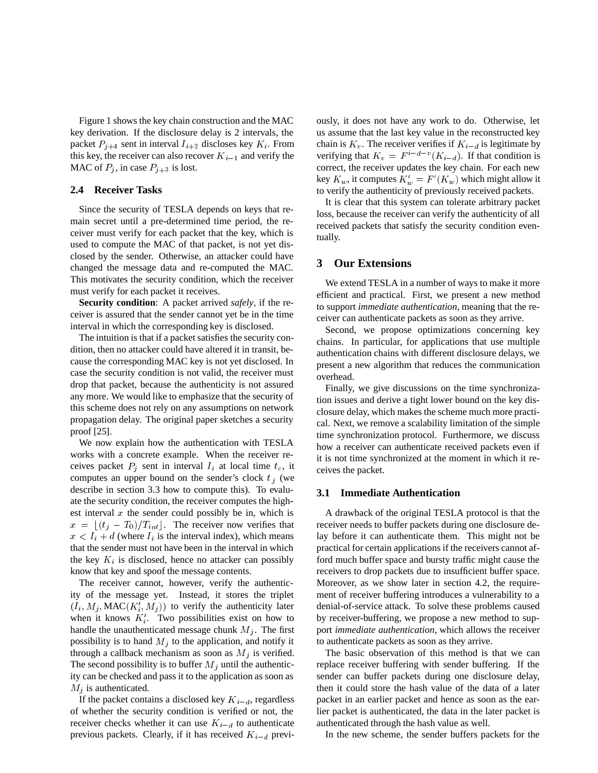Figure 1 shows the key chain construction and the MAC key derivation. If the disclosure delay is 2 intervals, the packet  $P_{j+4}$  sent in interval  $I_{i+2}$  discloses key  $K_i$ . From this key, the receiver can also recover  $K_{i-1}$  and verify the MAC of  $P_j$ , in case  $P_{j+3}$  is lost.

## **2.4 Receiver Tasks**

Since the security of TESLA depends on keys that remain secret until a pre-determined time period, the receiver must verify for each packet that the key, which is used to compute the MAC of that packet, is not yet disclosed by the sender. Otherwise, an attacker could have changed the message data and re-computed the MAC. This motivates the security condition, which the receiver must verify for each packet it receives.

**Security condition**: A packet arrived *safely*, if the receiver is assured that the sender cannot yet be in the time interval in which the corresponding key is disclosed.

The intuition is that if a packet satisfies the security condition, then no attacker could have altered it in transit, because the corresponding MAC key is not yet disclosed. In case the security condition is not valid, the receiver must drop that packet, because the authenticity is not assured any more. We would like to emphasize that the security of this scheme does not rely on any assumptions on network propagation delay. The original paper sketches a security proof [25].

We now explain how the authentication with TESLA works with a concrete example. When the receiver receives packet  $P_i$  sent in interval  $I_i$  at local time  $t_c$ , it computes an upper bound on the sender's clock  $t_j$  (we describe in section 3.3 how to compute this). To evaluate the security condition, the receiver computes the highest interval  $x$  the sender could possibly be in, which is  $x = \lfloor (t_j - T_0)/T_{int} \rfloor$ . The receiver now verifies that  $x < I_i + d$  (where  $I_i$  is the interval index), which means that the sender must not have been in the interval in which the key  $K_i$  is disclosed, hence no attacker can possibly know that key and spoof the message contents.

The receiver cannot, however, verify the authenticity of the message yet. Instead, it stores the triplet  $(I_i, M_j, \text{MAC}(K'_i, M_j))$  to verify the authenticity later when it knows  $K_i'$ . Two possibilities exist on how to handle the unauthenticated message chunk  $M_i$ . The first possibility is to hand  $M_i$  to the application, and notify it through a callback mechanism as soon as  $M_i$  is verified. The second possibility is to buffer  $M_j$  until the authenticity can be checked and pass it to the application as soon as  $M_i$  is authenticated.

If the packet contains a disclosed key  $K_{i-d}$ , regardless of whether the security condition is verified or not, the receiver checks whether it can use  $K_{i-d}$  to authenticate previous packets. Clearly, if it has received  $K_{i-d}$  previously, it does not have any work to do. Otherwise, let us assume that the last key value in the reconstructed key chain is  $K_v$ . The receiver verifies if  $K_{i-d}$  is legitimate by verifying that  $K_v = F^{i-d-v}(K_{i-d})$ . If that condition is correct, the receiver updates the key chain. For each new key  $K_w$ , it computes  $K'_w = F'(K_w)$  which might allow it to verify the authenticity of previously received packets.

It is clear that this system can tolerate arbitrary packet loss, because the receiver can verify the authenticity of all received packets that satisfy the security condition eventually.

# **3 Our Extensions**

We extend TESLA in a number of ways to make it more efficient and practical. First, we present a new method to support *immediate authentication*, meaning that the receiver can authenticate packets as soon as they arrive.

Second, we propose optimizations concerning key chains. In particular, for applications that use multiple authentication chains with different disclosure delays, we present a new algorithm that reduces the communication overhead.

Finally, we give discussions on the time synchronization issues and derive a tight lower bound on the key disclosure delay, which makes the scheme much more practical. Next, we remove a scalability limitation of the simple time synchronization protocol. Furthermore, we discuss how a receiver can authenticate received packets even if it is not time synchronized at the moment in which it receives the packet.

# **3.1 Immediate Authentication**

A drawback of the original TESLA protocol is that the receiver needs to buffer packets during one disclosure delay before it can authenticate them. This might not be practical for certain applications if the receivers cannot afford much buffer space and bursty traffic might cause the receivers to drop packets due to insufficient buffer space. Moreover, as we show later in section 4.2, the requirement of receiver buffering introduces a vulnerability to a denial-of-service attack. To solve these problems caused by receiver-buffering, we propose a new method to support *immediate authentication*, which allows the receiver to authenticate packets as soon as they arrive.

The basic observation of this method is that we can replace receiver buffering with sender buffering. If the sender can buffer packets during one disclosure delay, then it could store the hash value of the data of a later packet in an earlier packet and hence as soon as the earlier packet is authenticated, the data in the later packet is authenticated through the hash value as well.

In the new scheme, the sender buffers packets for the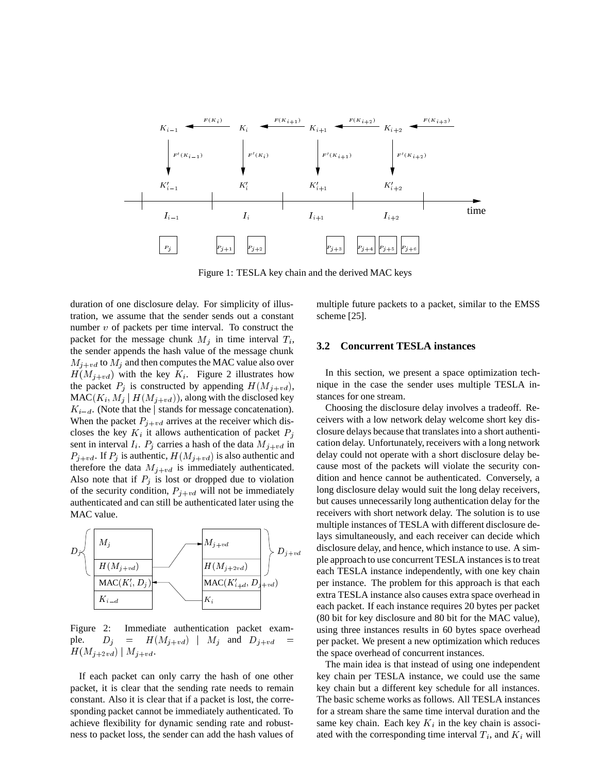

Figure 1: TESLA key chain and the derived MAC keys

duration of one disclosure delay. For simplicity of illustration, we assume that the sender sends out a constant number  $v$  of packets per time interval. To construct the packet for the message chunk  $M_i$  in time interval  $T_i$ , the sender appends the hash value of the message chunk  $M_{j+vd}$  to  $M_j$  and then computes the MAC value also over  $H(M_{j+vd})$  with the key  $K_i$ . Figure 2 illustrates how the packet  $P_j$  is constructed by appending  $H(M_{j+vd})$ ,  $MAC(K_i, M_j | H(M_{j+vd}))$ , along with the disclosed key  $K_{i-d}$ . (Note that the | stands for message concatenation). When the packet  $P_{i+vd}$  arrives at the receiver which discloses the key  $K_i$  it allows authentication of packet  $P_i$ sent in interval  $I_i$ .  $P_j$  carries a hash of the data  $M_{j+vd}$  in  $P_{j+vd}$ . If  $P_j$  is authentic,  $H(M_{j+vd})$  is also authentic and therefore the data  $M_{j+vd}$  is immediately authenticated. Also note that if  $P_j$  is lost or dropped due to violation of the security condition,  $P_{j+vd}$  will not be immediately authenticated and can still be authenticated later using the MAC value.



Figure 2: Immediate authentication packet example.  $D_j = H(M_{j+vd}) \mid M_j$  and  $D_{j+vd}$  $H(M_{j+2vd}) \, | \, M_{j+vd}.$ 

If each packet can only carry the hash of one other packet, it is clear that the sending rate needs to remain constant. Also it is clear that if a packet is lost, the corresponding packet cannot be immediately authenticated. To achieve flexibility for dynamic sending rate and robustness to packet loss, the sender can add the hash values of multiple future packets to a packet, similar to the EMSS scheme [25].

# **3.2 Concurrent TESLA instances**

In this section, we present a space optimization technique in the case the sender uses multiple TESLA instances for one stream.

Choosing the disclosure delay involves a tradeoff. Receivers with a low network delay welcome short key disclosure delays because that translates into a short authentication delay. Unfortunately, receivers with a long network delay could not operate with a short disclosure delay because most of the packets will violate the security condition and hence cannot be authenticated. Conversely, a long disclosure delay would suit the long delay receivers, but causes unnecessarily long authentication delay for the receivers with short network delay. The solution is to use multiple instances of TESLA with different disclosure delays simultaneously, and each receiver can decide which disclosure delay, and hence, which instance to use. A simple approach to use concurrent TESLA instances is to treat each TESLA instance independently, with one key chain per instance. The problem for this approach is that each extra TESLA instance also causes extra space overhead in each packet. If each instance requires 20 bytes per packet (80 bit for key disclosure and 80 bit for the MAC value), using three instances results in 60 bytes space overhead per packet. We present a new optimization which reduces the space overhead of concurrent instances.

The main idea is that instead of using one independent key chain per TESLA instance, we could use the same key chain but a different key schedule for all instances. The basic scheme works as follows. All TESLA instances for a stream share the same time interval duration and the same key chain. Each key  $K_i$  in the key chain is associated with the corresponding time interval  $T_i$ , and  $K_i$  will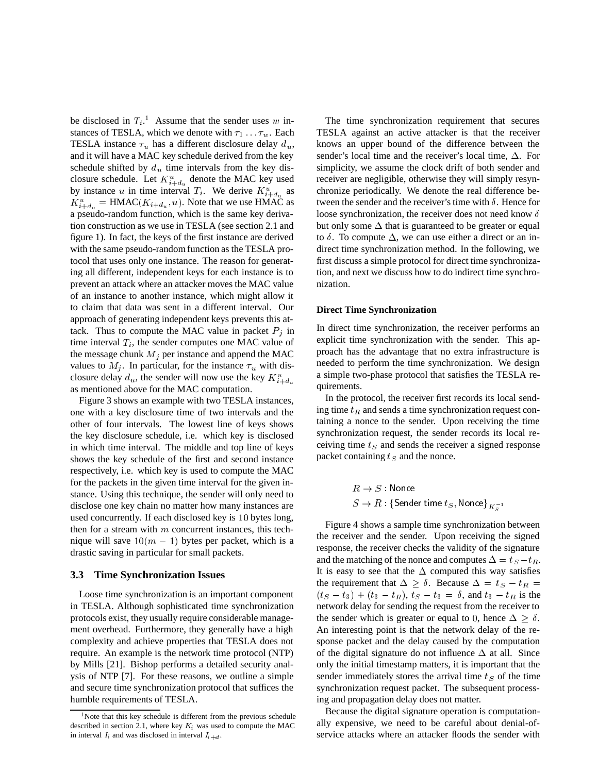be disclosed in  $T_i$ .<sup>1</sup> Assume that the sender uses w instances of TESLA, which we denote with  $\tau_1 \ldots \tau_w$ . Each TESLA instance  $\tau_u$  has a different disclosure delay  $d_u$ , and it will have a MAC key schedule derived from the key schedule shifted by  $d_u$  time intervals from the key disclosure schedule. Let  $K_{i+d_u}^u$  denote the MAC key used by instance u in time interval  $T_i$ . We derive  $K_{i+d_u}^u$  as  $K_{i+d_u}^u = \text{HMAC}(K_{i+d_u}, u)$ . Note that we use HMAC as a pseudo-random function, which is the same key derivation construction as we use in TESLA (see section 2.1 and figure 1). In fact, the keys of the first instance are derived with the same pseudo-random function as the TESLA protocol that uses only one instance. The reason for generating all different, independent keys for each instance is to prevent an attack where an attacker moves the MAC value of an instance to another instance, which might allow it to claim that data was sent in a different interval. Our approach of generating independent keys prevents this attack. Thus to compute the MAC value in packet  $P_i$  in time interval  $T_i$ , the sender computes one MAC value of the message chunk  $M_j$  per instance and append the MAC values to  $M_j$ . In particular, for the instance  $\tau_u$  with disclosure delay  $d_u$ , the sender will now use the key  $K_{i+d_u}^u$  a as mentioned above for the MAC computation.

Figure 3 shows an example with two TESLA instances, one with a key disclosure time of two intervals and the other of four intervals. The lowest line of keys shows the key disclosure schedule, i.e. which key is disclosed in which time interval. The middle and top line of keys shows the key schedule of the first and second instance respectively, i.e. which key is used to compute the MAC for the packets in the given time interval for the given instance. Using this technique, the sender will only need to disclose one key chain no matter how many instances are used concurrently. If each disclosed key is <sup>10</sup> bytes long, then for a stream with  $m$  concurrent instances, this technique will save  $10(m - 1)$  bytes per packet, which is a drastic saving in particular for small packets.

## **3.3 Time Synchronization Issues**

Loose time synchronization is an important component in TESLA. Although sophisticated time synchronization protocols exist, they usually require considerable management overhead. Furthermore, they generally have a high complexity and achieve properties that TESLA does not require. An example is the network time protocol (NTP) by Mills [21]. Bishop performs a detailed security analysis of NTP [7]. For these reasons, we outline a simple and secure time synchronization protocol that suffices the humble requirements of TESLA.

The time synchronization requirement that secures TESLA against an active attacker is that the receiver knows an upper bound of the difference between the sender's local time and the receiver's local time,  $\Delta$ . For simplicity, we assume the clock drift of both sender and receiver are negligible, otherwise they will simply resynchronize periodically. We denote the real difference between the sender and the receiver's time with  $\delta$ . Hence for loose synchronization, the receiver does not need know  $\delta$ but only some  $\Delta$  that is guaranteed to be greater or equal to  $\delta$ . To compute  $\Delta$ , we can use either a direct or an indirect time synchronization method. In the following, we first discuss a simple protocol for direct time synchronization, and next we discuss how to do indirect time synchronization.

## **Direct Time Synchronization**

In direct time synchronization, the receiver performs an explicit time synchronization with the sender. This approach has the advantage that no extra infrastructure is needed to perform the time synchronization. We design a simple two-phase protocol that satisfies the TESLA requirements.

In the protocol, the receiver first records its local sending time  $t_R$  and sends a time synchronization request containing a nonce to the sender. Upon receiving the time synchronization request, the sender records its local receiving time  $t<sub>S</sub>$  and sends the receiver a signed response packet containing  $t<sub>S</sub>$  and the nonce.

$$
R \to S : \text{None}
$$
\n
$$
S \to R : \{\text{Sender time } t_S, \text{None}\}_{K^{-1}_{\sim}}
$$

Figure 4 shows a sample time synchronization between the receiver and the sender. Upon receiving the signed response, the receiver checks the validity of the signature and the matching of the nonce and computes  $\Delta = t_S - t_R$ . It is easy to see that the  $\Delta$  computed this way satisfies the requirement that  $\Delta \geq \delta$ . Because  $\Delta = t_S - t_R$  =  $(t_S - t_3) + (t_3 - t_R)$ ,  $t_S - t_3 = \delta$ , and  $t_3 - t_R$  is the network delay for sending the request from the receiver to the sender which is greater or equal to 0, hence  $\Delta > \delta$ . An interesting point is that the network delay of the response packet and the delay caused by the computation of the digital signature do not influence  $\Delta$  at all. Since only the initial timestamp matters, it is important that the sender immediately stores the arrival time  $t<sub>S</sub>$  of the time synchronization request packet. The subsequent processing and propagation delay does not matter.

Because the digital signature operation is computationally expensive, we need to be careful about denial-ofservice attacks where an attacker floods the sender with

<sup>&</sup>lt;sup>1</sup>Note that this key schedule is different from the previous schedule described in section 2.1, where key  $K_i$  was used to compute the MAC in interval  $I_i$  and was disclosed in interval  $I_{i+d}$ .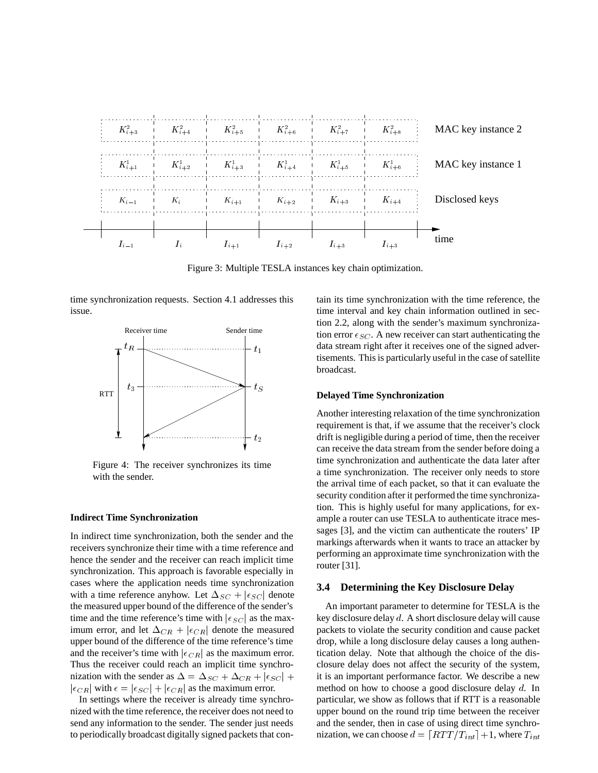

Figure 3: Multiple TESLA instances key chain optimization.

time synchronization requests. Section 4.1 addresses this issue.



Figure 4: The receiver synchronizes its time with the sender.

#### **Indirect Time Synchronization**

In indirect time synchronization, both the sender and the receivers synchronize their time with a time reference and hence the sender and the receiver can reach implicit time synchronization. This approach is favorable especially in cases where the application needs time synchronization with a time reference anyhow. Let  $\Delta_{SC} + |\epsilon_{SC}|$  denote the measured upper bound of the difference of the sender's time and the time reference's time with  $|\epsilon_{SC}|$  as the maximum error, and let  $\Delta_{CR} + |\epsilon_{CR}|$  denote the measured upper bound of the difference of the time reference's time and the receiver's time with  $|\epsilon_{CR}|$  as the maximum error. Thus the receiver could reach an implicit time synchronization with the sender as  $\Delta = \Delta_{SC} + \Delta_{CR} + |\epsilon_{SC}| +$  $|\epsilon_{CR}|$  with  $\epsilon = |\epsilon_{SC}| + |\epsilon_{CR}|$  as the maximum error.

In settings where the receiver is already time synchronized with the time reference, the receiver does not need to send any information to the sender. The sender just needs to periodically broadcast digitally signed packets that contain its time synchronization with the time reference, the time interval and key chain information outlined in section 2.2, along with the sender's maximum synchronization error  $\epsilon_{SC}$ . A new receiver can start authenticating the data stream right after it receives one of the signed advertisements. This is particularly useful in the case of satellite broadcast.

## **Delayed Time Synchronization**

Another interesting relaxation of the time synchronization requirement is that, if we assume that the receiver's clock drift is negligible during a period of time, then the receiver can receive the data stream from the sender before doing a time synchronization and authenticate the data later after a time synchronization. The receiver only needs to store the arrival time of each packet, so that it can evaluate the security condition after it performed the time synchronization. This is highly useful for many applications, for example a router can use TESLA to authenticate itrace messages [3], and the victim can authenticate the routers' IP markings afterwards when it wants to trace an attacker by performing an approximate time synchronization with the router [31].

#### **3.4 Determining the Key Disclosure Delay**

An important parameter to determine for TESLA is the key disclosure delay <sup>d</sup>. A short disclosure delay will cause packets to violate the security condition and cause packet drop, while a long disclosure delay causes a long authentication delay. Note that although the choice of the disclosure delay does not affect the security of the system, it is an important performance factor. We describe a new method on how to choose a good disclosure delay <sup>d</sup>. In particular, we show as follows that if RTT is a reasonable upper bound on the round trip time between the receiver and the sender, then in case of using direct time synchronization, we can choose  $d = [RTT/T_{int}] +1$ , where  $T_{int}$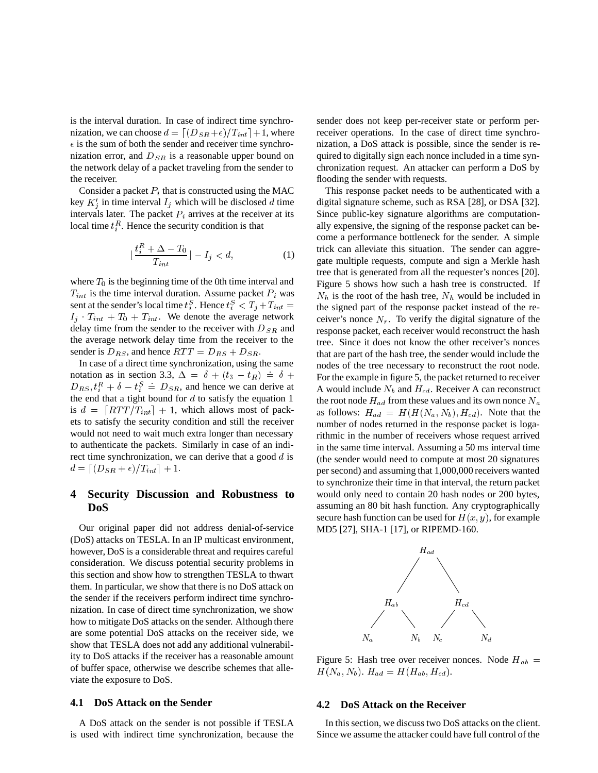is the interval duration. In case of indirect time synchronization, we can choose  $d = \left[\frac{D_{SR}+\epsilon}{T_{int}}\right]+1$ , where  $\epsilon$  is the sum of both the sender and receiver time synchronization error, and  $D_{SR}$  is a reasonable upper bound on the network delay of a packet traveling from the sender to the receiver.

Consider a packet  $P_i$  that is constructed using the MAC key  $K'_{i}$  in time interval  $I_{j}$  which will be disclosed d time intervals later. The packet  $P_i$  arrives at the receiver at its local time  $t_i^R$ . Hence the security condition is that

$$
\lfloor \frac{t_i^R + \Delta - T_0}{T_{int}} \rfloor - I_j < d,\tag{1}
$$

where  $T_0$  is the beginning time of the 0th time interval and  $T_{int}$  is the time interval duration. Assume packet  $P_i$  was sent at the sender's local time  $t_i^S$ . Hence  $t_i^S < T_j + T_{int} =$  the signe  $I_j$   $T_{int} + T_0 + T_{int}$ . We denote the average network delay time from the sender to the receiver with  $D_{SR}$  and the average network delay time from the receiver to the sender is  $D_{RS}$ , and hence  $RTT = D_{RS} + D_{SR}$ .

In case of a direct time synchronization, using the same notation as in section 3.3,  $\Delta = \delta + (t_3 - t_R) = \delta +$  $D_{RS}, t_i^R + \delta - t_i^S = D_{SR}$ , and hence we can derive at the end that a tight bound for  $d$  to satisfy the equation 1 is  $d = [RTT/T_{int}] + 1$ , which allows most of packets to satisfy the security condition and still the receiver would not need to wait much extra longer than necessary to authenticate the packets. Similarly in case of an indirect time synchronization, we can derive that a good  $d$  is  $d = \left[ (D_{SR} + \epsilon) / T_{int} \right] + 1.$ 

# **4 Security Discussion and Robustness to DoS**

Our original paper did not address denial-of-service (DoS) attacks on TESLA. In an IP multicast environment, however, DoS is a considerable threat and requires careful consideration. We discuss potential security problems in this section and show how to strengthen TESLA to thwart them. In particular, we show that there is no DoS attack on the sender if the receivers perform indirect time synchronization. In case of direct time synchronization, we show how to mitigate DoS attacks on the sender. Although there are some potential DoS attacks on the receiver side, we show that TESLA does not add any additional vulnerability to DoS attacks if the receiver has a reasonable amount of buffer space, otherwise we describe schemes that alleviate the exposure to DoS.

## **4.1 DoS Attack on the Sender**

A DoS attack on the sender is not possible if TESLA is used with indirect time synchronization, because the sender does not keep per-receiver state or perform perreceiver operations. In the case of direct time synchronization, a DoS attack is possible, since the sender is required to digitally sign each nonce included in a time synchronization request. An attacker can perform a DoS by flooding the sender with requests.

 $=$   $\delta$  + For the example in figure 5, the packet returned to receiver This response packet needs to be authenticated with a digital signature scheme, such as RSA [28], or DSA [32]. Since public-key signature algorithms are computationally expensive, the signing of the response packet can become a performance bottleneck for the sender. A simple trick can alleviate this situation. The sender can aggregate multiple requests, compute and sign a Merkle hash tree that is generated from all the requester's nonces [20]. Figure 5 shows how such a hash tree is constructed. If  $N_h$  is the root of the hash tree,  $N_h$  would be included in the signed part of the response packet instead of the receiver's nonce  $N_r$ . To verify the digital signature of the response packet, each receiver would reconstruct the hash tree. Since it does not know the other receiver's nonces that are part of the hash tree, the sender would include the nodes of the tree necessary to reconstruct the root node. A would include  $N_b$  and  $H_{cd}$ . Receiver A can reconstruct the root node  $H_{ad}$  from these values and its own nonce  $N_a$ as follows:  $H_{ad} = H(H(N_a, N_b), H_{cd})$ . Note that the number of nodes returned in the response packet is logarithmic in the number of receivers whose request arrived in the same time interval. Assuming a 50 ms interval time (the sender would need to compute at most 20 signatures per second) and assuming that 1,000,000 receivers wanted to synchronize their time in that interval, the return packet would only need to contain 20 hash nodes or 200 bytes, assuming an 80 bit hash function. Any cryptographically secure hash function can be used for  $H(x, y)$ , for example MD5 [27], SHA-1 [17], or RIPEMD-160.



Figure 5: Hash tree over receiver nonces. Node  $H_{ab}$  =  $H(N_a, N_b)$ .  $H_{ad} = H(H_{ab}, H_{cd})$ .

## **4.2 DoS Attack on the Receiver**

In this section, we discuss two DoS attacks on the client. Since we assume the attacker could have full control of the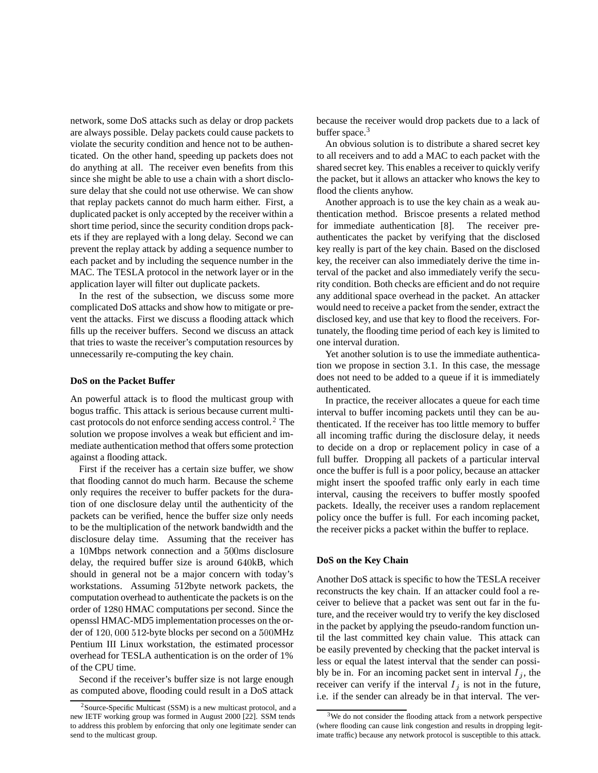network, some DoS attacks such as delay or drop packets are always possible. Delay packets could cause packets to violate the security condition and hence not to be authenticated. On the other hand, speeding up packets does not do anything at all. The receiver even benefits from this since she might be able to use a chain with a short disclosure delay that she could not use otherwise. We can show that replay packets cannot do much harm either. First, a duplicated packet is only accepted by the receiver within a short time period, since the security condition drops packets if they are replayed with a long delay. Second we can prevent the replay attack by adding a sequence number to each packet and by including the sequence number in the MAC. The TESLA protocol in the network layer or in the application layer will filter out duplicate packets.

In the rest of the subsection, we discuss some more complicated DoS attacks and show how to mitigate or prevent the attacks. First we discuss a flooding attack which fills up the receiver buffers. Second we discuss an attack that tries to waste the receiver's computation resources by unnecessarily re-computing the key chain.

## **DoS on the Packet Buffer**

An powerful attack is to flood the multicast group with bogus traffic. This attack is serious because current multicast protocols do not enforce sending access control. <sup>2</sup> The solution we propose involves a weak but efficient and immediate authentication method that offers some protection against a flooding attack.

First if the receiver has a certain size buffer, we show that flooding cannot do much harm. Because the scheme only requires the receiver to buffer packets for the duration of one disclosure delay until the authenticity of the packets can be verified, hence the buffer size only needs to be the multiplication of the network bandwidth and the disclosure delay time. Assuming that the receiver has a <sup>10</sup>Mbps network connection and a <sup>500</sup>ms disclosure delay, the required buffer size is around <sup>640</sup>kB, which should in general not be a major concern with today's workstations. Assuming <sup>512</sup>byte network packets, the computation overhead to authenticate the packets is on the order of <sup>1280</sup> HMAC computations per second. Since the openssl HMAC-MD5 implementation processes on the order of 120; 000 512-byte blocks per second on a <sup>500</sup>MHz Pentium III Linux workstation, the estimated processor overhead for TESLA authentication is on the order of 1% of the CPU time.

Second if the receiver's buffer size is not large enough as computed above, flooding could result in a DoS attack

because the receiver would drop packets due to a lack of buffer space.<sup>3</sup>

An obvious solution is to distribute a shared secret key to all receivers and to add a MAC to each packet with the shared secret key. This enables a receiver to quickly verify the packet, but it allows an attacker who knows the key to flood the clients anyhow.

Another approach is to use the key chain as a weak authentication method. Briscoe presents a related method for immediate authentication [8]. The receiver preauthenticates the packet by verifying that the disclosed key really is part of the key chain. Based on the disclosed key, the receiver can also immediately derive the time interval of the packet and also immediately verify the security condition. Both checks are efficient and do not require any additional space overhead in the packet. An attacker would need to receive a packet from the sender, extract the disclosed key, and use that key to flood the receivers. Fortunately, the flooding time period of each key is limited to one interval duration.

Yet another solution is to use the immediate authentication we propose in section 3.1. In this case, the message does not need to be added to a queue if it is immediately authenticated.

In practice, the receiver allocates a queue for each time interval to buffer incoming packets until they can be authenticated. If the receiver has too little memory to buffer all incoming traffic during the disclosure delay, it needs to decide on a drop or replacement policy in case of a full buffer. Dropping all packets of a particular interval once the buffer is full is a poor policy, because an attacker might insert the spoofed traffic only early in each time interval, causing the receivers to buffer mostly spoofed packets. Ideally, the receiver uses a random replacement policy once the buffer is full. For each incoming packet, the receiver picks a packet within the buffer to replace.

## **DoS on the Key Chain**

Another DoS attack is specific to how the TESLA receiver reconstructs the key chain. If an attacker could fool a receiver to believe that a packet was sent out far in the future, and the receiver would try to verify the key disclosed in the packet by applying the pseudo-random function until the last committed key chain value. This attack can be easily prevented by checking that the packet interval is less or equal the latest interval that the sender can possibly be in. For an incoming packet sent in interval  $I_i$ , the receiver can verify if the interval  $I_i$  is not in the future, i.e. if the sender can already be in that interval. The ver-

<sup>2</sup>Source-Specific Multicast (SSM) is a new multicast protocol, and a new IETF working group was formed in August 2000 [22]. SSM tends to address this problem by enforcing that only one legitimate sender can send to the multicast group.

 $3\%$  We do not consider the flooding attack from a network perspective (where flooding can cause link congestion and results in dropping legitimate traffic) because any network protocol is susceptible to this attack.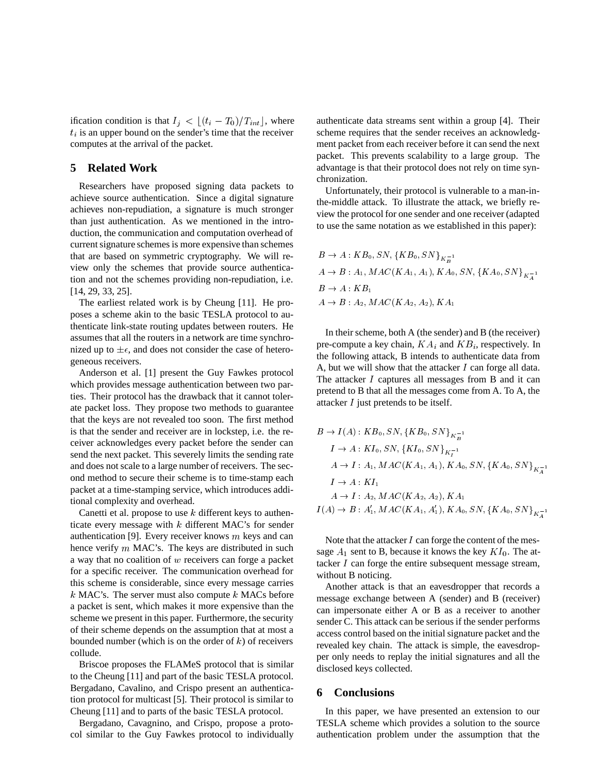ification condition is that  $I_j < \lfloor (t_i - T_0)/T_{int} \rfloor$ , where  $t_i$  is an upper bound on the sender's time that the receiver computes at the arrival of the packet.

# **5 Related Work**

Researchers have proposed signing data packets to achieve source authentication. Since a digital signature achieves non-repudiation, a signature is much stronger than just authentication. As we mentioned in the introduction, the communication and computation overhead of current signature schemes is more expensive than schemes that are based on symmetric cryptography. We will review only the schemes that provide source authentication and not the schemes providing non-repudiation, i.e. [14, 29, 33, 25].

The earliest related work is by Cheung [11]. He proposes a scheme akin to the basic TESLA protocol to authenticate link-state routing updates between routers. He assumes that all the routers in a network are time synchronized up to  $\pm \epsilon$ , and does not consider the case of heterogeneous receivers.

Anderson et al. [1] present the Guy Fawkes protocol which provides message authentication between two parties. Their protocol has the drawback that it cannot tolerate packet loss. They propose two methods to guarantee that the keys are not revealed too soon. The first method is that the sender and receiver are in lockstep, i.e. the receiver acknowledges every packet before the sender can send the next packet. This severely limits the sending rate and does not scale to a large number of receivers. The second method to secure their scheme is to time-stamp each packet at a time-stamping service, which introduces additional complexity and overhead.

Canetti et al. propose to use  $k$  different keys to authenticate every message with  $k$  different MAC's for sender authentication [9]. Every receiver knows  $m$  keys and can hence verify  $m$  MAC's. The keys are distributed in such a way that no coalition of w receivers can forge a packet for a specific receiver. The communication overhead for this scheme is considerable, since every message carries  $k$  MAC's. The server must also compute  $k$  MACs before a packet is sent, which makes it more expensive than the scheme we present in this paper. Furthermore, the security of their scheme depends on the assumption that at most a bounded number (which is on the order of  $k$ ) of receivers collude.

Briscoe proposes the FLAMeS protocol that is similar to the Cheung [11] and part of the basic TESLA protocol. Bergadano, Cavalino, and Crispo present an authentication protocol for multicast [5]. Their protocol is similar to Cheung [11] and to parts of the basic TESLA protocol.

Bergadano, Cavagnino, and Crispo, propose a protocol similar to the Guy Fawkes protocol to individually authenticate data streams sent within a group [4]. Their scheme requires that the sender receives an acknowledgment packet from each receiver before it can send the next packet. This prevents scalability to a large group. The advantage is that their protocol does not rely on time synchronization.

Unfortunately, their protocol is vulnerable to a man-inthe-middle attack. To illustrate the attack, we briefly review the protocol for one sender and one receiver (adapted to use the same notation as we established in this paper):

$$
B \to A: KB_0, SN, \{KB_0, SN\}_{K_B^{-1}}
$$
  
\n
$$
A \to B: A_1, MAC(KA_1, A_1), KA_0, SN, \{KA_0, SN\}_{K_A^{-1}}
$$
  
\n
$$
B \to A: KB_1
$$
  
\n
$$
A \to B: A_2, MAC(KA_2, A_2), KA_1
$$

In their scheme, both A (the sender) and B (the receiver) pre-compute a key chain,  $KA_i$  and  $KB_i$ , respectively. In the following attack, B intends to authenticate data from A, but we will show that the attacker <sup>I</sup> can forge all data. The attacker  $I$  captures all messages from  $B$  and it can pretend to B that all the messages come from A. To A, the attacker  $I$  just pretends to be itself.

$$
B \to I(A): KB_{0}, SN, \{KB_{0}, SN\}_{K_{B}^{-1}}
$$
  
\n
$$
I \to A: KI_{0}, SN, \{KB_{0}, SN\}_{K_{I}^{-1}}
$$
  
\n
$$
A \to I: A_{1}, MAC(KA_{1}, A_{1}), KA_{0}, SN, \{KA_{0}, SN\}_{K_{A}^{-1}}
$$
  
\n
$$
I \to A: KI_{1}
$$
  
\n
$$
A \to I: A_{2}, MAC(KA_{2}, A_{2}), KA_{1}
$$
  
\n
$$
I(A) \to B: A'_{1}, MAC(KA_{1}, A'_{1}), KA_{0}, SN, \{KA_{0}, SN\}_{K_{I}^{-1}}
$$

Note that the attacker  $I$  can forge the content of the message  $A_1$  sent to B, because it knows the key  $KI_0$ . The attacker <sup>I</sup> can forge the entire subsequent message stream, without B noticing.

Another attack is that an eavesdropper that records a message exchange between A (sender) and B (receiver) can impersonate either A or B as a receiver to another sender C. This attack can be serious if the sender performs access control based on the initial signature packet and the revealed key chain. The attack is simple, the eavesdropper only needs to replay the initial signatures and all the disclosed keys collected.

# **6 Conclusions**

In this paper, we have presented an extension to our TESLA scheme which provides a solution to the source authentication problem under the assumption that the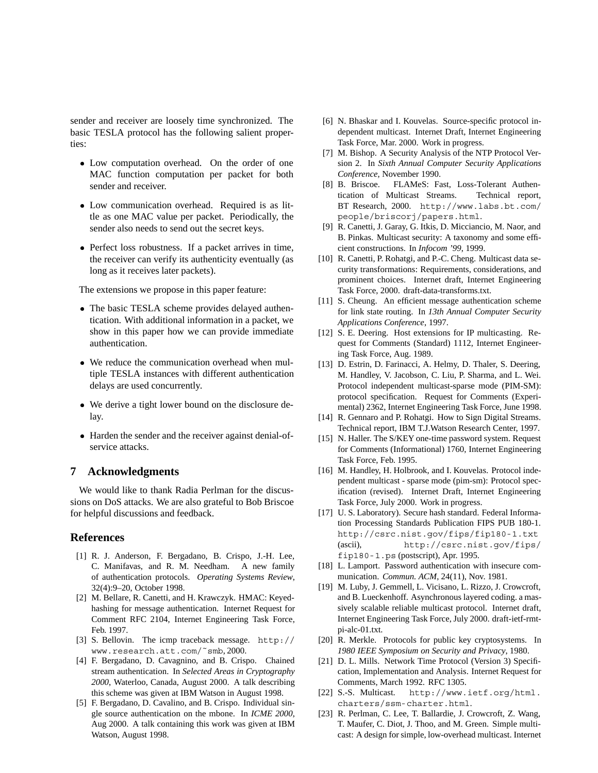sender and receiver are loosely time synchronized. The basic TESLA protocol has the following salient properties:

- Low computation overhead. On the order of one MAC function computation per packet for both sender and receiver.
- Low communication overhead. Required is as little as one MAC value per packet. Periodically, the sender also needs to send out the secret keys.
- Perfect loss robustness. If a packet arrives in time, the receiver can verify its authenticity eventually (as long as it receives later packets).

The extensions we propose in this paper feature:

- The basic TESLA scheme provides delayed authentication. With additional information in a packet, we show in this paper how we can provide immediate authentication.
- We reduce the communication overhead when multiple TESLA instances with different authentication delays are used concurrently.
- We derive a tight lower bound on the disclosure delay.
- Harden the sender and the receiver against denial-ofservice attacks.

# **7 Acknowledgments**

We would like to thank Radia Perlman for the discussions on DoS attacks. We are also grateful to Bob Briscoe for helpful discussions and feedback.

## **References**

- [1] R. J. Anderson, F. Bergadano, B. Crispo, J.-H. Lee, C. Manifavas, and R. M. Needham. A new family of authentication protocols. *Operating Systems Review*, 32(4):9–20, October 1998.
- [2] M. Bellare, R. Canetti, and H. Krawczyk. HMAC: Keyedhashing for message authentication. Internet Request for Comment RFC 2104, Internet Engineering Task Force, Feb. 1997.
- [3] S. Bellovin. The icmp traceback message. http:// www.research.att.com/˜smb, 2000.
- [4] F. Bergadano, D. Cavagnino, and B. Crispo. Chained stream authentication. In *Selected Areas in Cryptography 2000*, Waterloo, Canada, August 2000. A talk describing this scheme was given at IBM Watson in August 1998.
- [5] F. Bergadano, D. Cavalino, and B. Crispo. Individual single source authentication on the mbone. In *ICME 2000*, Aug 2000. A talk containing this work was given at IBM Watson, August 1998.
- [6] N. Bhaskar and I. Kouvelas. Source-specific protocol independent multicast. Internet Draft, Internet Engineering Task Force, Mar. 2000. Work in progress.
- [7] M. Bishop. A Security Analysis of the NTP Protocol Version 2. In *Sixth Annual Computer Security Applications Conference*, November 1990.
- [8] B. Briscoe. FLAMeS: Fast, Loss-Tolerant Authentication of Multicast Streams. Technical report, BT Research, 2000. http://www.labs.bt.com/ people/briscorj/papers.html.
- [9] R. Canetti, J. Garay, G. Itkis, D. Micciancio, M. Naor, and B. Pinkas. Multicast security: A taxonomy and some efficient constructions. In *Infocom '99*, 1999.
- [10] R. Canetti, P. Rohatgi, and P.-C. Cheng. Multicast data security transformations: Requirements, considerations, and prominent choices. Internet draft, Internet Engineering Task Force, 2000. draft-data-transforms.txt.
- [11] S. Cheung. An efficient message authentication scheme for link state routing. In *13th Annual Computer Security Applications Conference*, 1997.
- [12] S. E. Deering. Host extensions for IP multicasting. Request for Comments (Standard) 1112, Internet Engineering Task Force, Aug. 1989.
- [13] D. Estrin, D. Farinacci, A. Helmy, D. Thaler, S. Deering, M. Handley, V. Jacobson, C. Liu, P. Sharma, and L. Wei. Protocol independent multicast-sparse mode (PIM-SM): protocol specification. Request for Comments (Experimental) 2362, Internet Engineering Task Force, June 1998.
- [14] R. Gennaro and P. Rohatgi. How to Sign Digital Streams. Technical report, IBM T.J.Watson Research Center, 1997.
- [15] N. Haller. The S/KEY one-time password system. Request for Comments (Informational) 1760, Internet Engineering Task Force, Feb. 1995.
- [16] M. Handley, H. Holbrook, and I. Kouvelas. Protocol independent multicast - sparse mode (pim-sm): Protocol specification (revised). Internet Draft, Internet Engineering Task Force, July 2000. Work in progress.
- [17] U.S. Laboratory). Secure hash standard. Federal Information Processing Standards Publication FIPS PUB 180-1. http://csrc.nist.gov/fips/fip180-1.txt (ascii), http://csrc.nist.gov/fips/ fip180-1.ps (postscript), Apr. 1995.
- [18] L. Lamport. Password authentication with insecure communication. *Commun. ACM*, 24(11), Nov. 1981.
- [19] M. Luby, J. Gemmell, L. Vicisano, L. Rizzo, J. Crowcroft, and B. Lueckenhoff. Asynchronous layered coding. a massively scalable reliable multicast protocol. Internet draft, Internet Engineering Task Force, July 2000. draft-ietf-rmtpi-alc-01.txt.
- [20] R. Merkle. Protocols for public key cryptosystems. In *1980 IEEE Symposium on Security and Privacy*, 1980.
- [21] D. L. Mills. Network Time Protocol (Version 3) Specification, Implementation and Analysis. Internet Request for Comments, March 1992. RFC 1305.
- [22] S.-S. Multicast. http://www.ietf.org/html. charters/ssm-charter.html.
- [23] R. Perlman, C. Lee, T. Ballardie, J. Crowcroft, Z. Wang, T. Maufer, C. Diot, J. Thoo, and M. Green. Simple multicast: A design for simple, low-overhead multicast. Internet